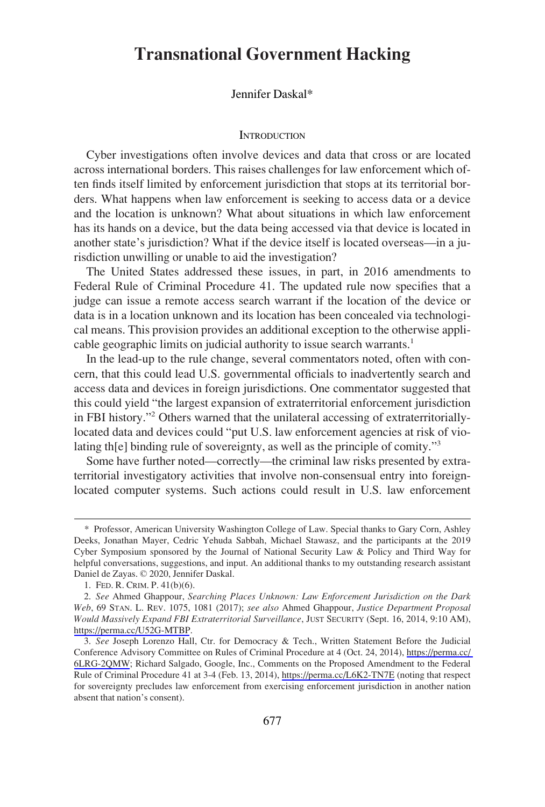# **Transnational Government Hacking**

## Jennifer Daskal\*

#### **INTRODUCTION**

Cyber investigations often involve devices and data that cross or are located across international borders. This raises challenges for law enforcement which often finds itself limited by enforcement jurisdiction that stops at its territorial borders. What happens when law enforcement is seeking to access data or a device and the location is unknown? What about situations in which law enforcement has its hands on a device, but the data being accessed via that device is located in another state's jurisdiction? What if the device itself is located overseas—in a jurisdiction unwilling or unable to aid the investigation?

The United States addressed these issues, in part, in 2016 amendments to Federal Rule of Criminal Procedure 41. The updated rule now specifies that a judge can issue a remote access search warrant if the location of the device or data is in a location unknown and its location has been concealed via technological means. This provision provides an additional exception to the otherwise applicable geographic limits on judicial authority to issue search warrants.<sup>1</sup>

In the lead-up to the rule change, several commentators noted, often with concern, that this could lead U.S. governmental officials to inadvertently search and access data and devices in foreign jurisdictions. One commentator suggested that this could yield "the largest expansion of extraterritorial enforcement jurisdiction in FBI history."2 Others warned that the unilateral accessing of extraterritoriallylocated data and devices could "put U.S. law enforcement agencies at risk of violating th[e] binding rule of sovereignty, as well as the principle of comity."3

Some have further noted—correctly—the criminal law risks presented by extraterritorial investigatory activities that involve non-consensual entry into foreignlocated computer systems. Such actions could result in U.S. law enforcement

<sup>\*</sup> Professor, American University Washington College of Law. Special thanks to Gary Corn, Ashley Deeks, Jonathan Mayer, Cedric Yehuda Sabbah, Michael Stawasz, and the participants at the 2019 Cyber Symposium sponsored by the Journal of National Security Law & Policy and Third Way for helpful conversations, suggestions, and input. An additional thanks to my outstanding research assistant Daniel de Zayas. © 2020, Jennifer Daskal.

<sup>1.</sup> FED. R. CRIM. P. 41(b)(6).

*See* Ahmed Ghappour, *Searching Places Unknown: Law Enforcement Jurisdiction on the Dark*  2. *Web*, 69 STAN. L. REV. 1075, 1081 (2017); *see also* Ahmed Ghappour, *Justice Department Proposal Would Massively Expand FBI Extraterritorial Surveillance*, JUST SECURITY (Sept. 16, 2014, 9:10 AM), <https://perma.cc/U52G-MTBP>.

<sup>3.</sup> See Joseph Lorenzo Hall, Ctr. for Democracy & Tech., Written Statement Before the Judicial Conference Advisory Committee on Rules of Criminal Procedure at 4 (Oct. 24, 2014), [https://perma.cc/](https://perma.cc/6LRG-2QMW)  [6LRG-2QMW;](https://perma.cc/6LRG-2QMW) Richard Salgado, Google, Inc., Comments on the Proposed Amendment to the Federal Rule of Criminal Procedure 41 at 3-4 (Feb. 13, 2014), <https://perma.cc/L6K2-TN7E> (noting that respect for sovereignty precludes law enforcement from exercising enforcement jurisdiction in another nation absent that nation's consent).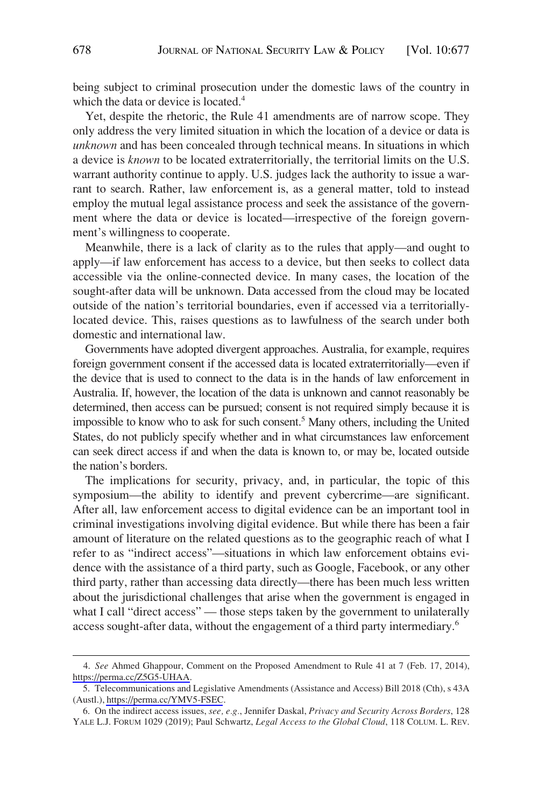being subject to criminal prosecution under the domestic laws of the country in which the data or device is located.<sup>4</sup>

Yet, despite the rhetoric, the Rule 41 amendments are of narrow scope. They only address the very limited situation in which the location of a device or data is *unknown* and has been concealed through technical means. In situations in which a device is *known* to be located extraterritorially, the territorial limits on the U.S. warrant authority continue to apply. U.S. judges lack the authority to issue a warrant to search. Rather, law enforcement is, as a general matter, told to instead employ the mutual legal assistance process and seek the assistance of the government where the data or device is located—irrespective of the foreign government's willingness to cooperate.

Meanwhile, there is a lack of clarity as to the rules that apply—and ought to apply—if law enforcement has access to a device, but then seeks to collect data accessible via the online-connected device. In many cases, the location of the sought-after data will be unknown. Data accessed from the cloud may be located outside of the nation's territorial boundaries, even if accessed via a territoriallylocated device. This, raises questions as to lawfulness of the search under both domestic and international law.

Governments have adopted divergent approaches. Australia, for example, requires foreign government consent if the accessed data is located extraterritorially—even if the device that is used to connect to the data is in the hands of law enforcement in Australia. If, however, the location of the data is unknown and cannot reasonably be determined, then access can be pursued; consent is not required simply because it is impossible to know who to ask for such consent.<sup>5</sup> Many others, including the United States, do not publicly specify whether and in what circumstances law enforcement can seek direct access if and when the data is known to, or may be, located outside the nation's borders.

The implications for security, privacy, and, in particular, the topic of this symposium—the ability to identify and prevent cybercrime—are significant. After all, law enforcement access to digital evidence can be an important tool in criminal investigations involving digital evidence. But while there has been a fair amount of literature on the related questions as to the geographic reach of what I refer to as "indirect access"—situations in which law enforcement obtains evidence with the assistance of a third party, such as Google, Facebook, or any other third party, rather than accessing data directly—there has been much less written about the jurisdictional challenges that arise when the government is engaged in what I call "direct access" — those steps taken by the government to unilaterally access sought-after data, without the engagement of a third party intermediary.<sup>6</sup>

*See* Ahmed Ghappour, Comment on the Proposed Amendment to Rule 41 at 7 (Feb. 17, 2014), 4. [https://perma.cc/Z5G5-UHAA.](https://perma.cc/Z5G5-UHAA)

<sup>5.</sup> Telecommunications and Legislative Amendments (Assistance and Access) Bill 2018 (Cth), s 43A (Austl.),<https://perma.cc/YMV5-FSEC>.

<sup>6.</sup> On the indirect access issues, *see, e.g.*, Jennifer Daskal, *Privacy and Security Across Borders*, 128 YALE L.J. FORUM 1029 (2019); Paul Schwartz, *Legal Access to the Global Cloud*, 118 COLUM. L. REV.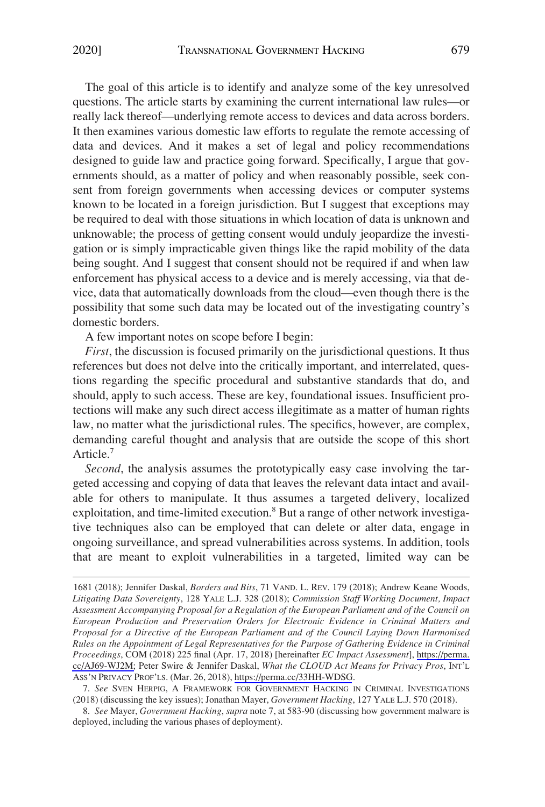The goal of this article is to identify and analyze some of the key unresolved questions. The article starts by examining the current international law rules—or really lack thereof—underlying remote access to devices and data across borders. It then examines various domestic law efforts to regulate the remote accessing of data and devices. And it makes a set of legal and policy recommendations designed to guide law and practice going forward. Specifically, I argue that governments should, as a matter of policy and when reasonably possible, seek consent from foreign governments when accessing devices or computer systems known to be located in a foreign jurisdiction. But I suggest that exceptions may be required to deal with those situations in which location of data is unknown and unknowable; the process of getting consent would unduly jeopardize the investigation or is simply impracticable given things like the rapid mobility of the data being sought. And I suggest that consent should not be required if and when law enforcement has physical access to a device and is merely accessing, via that device, data that automatically downloads from the cloud—even though there is the possibility that some such data may be located out of the investigating country's domestic borders.

A few important notes on scope before I begin:

*First*, the discussion is focused primarily on the jurisdictional questions. It thus references but does not delve into the critically important, and interrelated, questions regarding the specific procedural and substantive standards that do, and should, apply to such access. These are key, foundational issues. Insufficient protections will make any such direct access illegitimate as a matter of human rights law, no matter what the jurisdictional rules. The specifics, however, are complex, demanding careful thought and analysis that are outside the scope of this short Article.7

*Second*, the analysis assumes the prototypically easy case involving the targeted accessing and copying of data that leaves the relevant data intact and available for others to manipulate. It thus assumes a targeted delivery, localized exploitation, and time-limited execution.<sup>8</sup> But a range of other network investigative techniques also can be employed that can delete or alter data, engage in ongoing surveillance, and spread vulnerabilities across systems. In addition, tools that are meant to exploit vulnerabilities in a targeted, limited way can be

<sup>1681 (2018);</sup> Jennifer Daskal, *Borders and Bits*, 71 VAND. L. REV. 179 (2018); Andrew Keane Woods, *Litigating Data Sovereignty*, 128 YALE L.J. 328 (2018); *Commission Staff Working Document, Impact Assessment Accompanying Proposal for a Regulation of the European Parliament and of the Council on European Production and Preservation Orders for Electronic Evidence in Criminal Matters and Proposal for a Directive of the European Parliament and of the Council Laying Down Harmonised Rules on the Appointment of Legal Representatives for the Purpose of Gathering Evidence in Criminal Proceedings*, COM (2018) 225 final (Apr. 17, 2018) [hereinafter *EC Impact Assessment*], [https://perma.](https://perma.cc/AJ69-WJ2M)  [cc/AJ69-WJ2M;](https://perma.cc/AJ69-WJ2M) Peter Swire & Jennifer Daskal, *What the CLOUD Act Means for Privacy Pros*, INT'L ASS'N PRIVACY PROF'LS. (Mar. 26, 2018),<https://perma.cc/33HH-WDSG>.

<sup>7.</sup> *See* SVEN HERPIG, A FRAMEWORK FOR GOVERNMENT HACKING IN CRIMINAL INVESTIGATIONS (2018) (discussing the key issues); Jonathan Mayer, *Government Hacking*, 127 YALE L.J. 570 (2018).

<sup>8.</sup> *See* Mayer, *Government Hacking*, *supra* note 7, at 583-90 (discussing how government malware is deployed, including the various phases of deployment).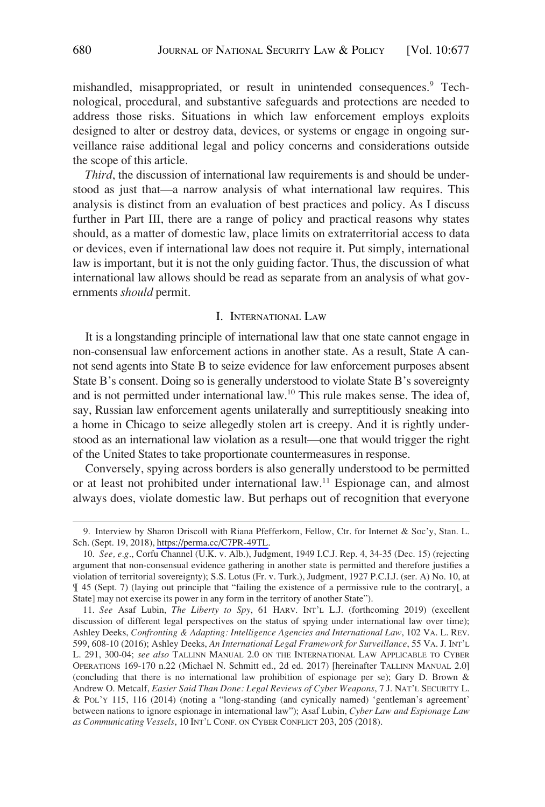mishandled, misappropriated, or result in unintended consequences.<sup>9</sup> Technological, procedural, and substantive safeguards and protections are needed to address those risks. Situations in which law enforcement employs exploits designed to alter or destroy data, devices, or systems or engage in ongoing surveillance raise additional legal and policy concerns and considerations outside the scope of this article.

*Third*, the discussion of international law requirements is and should be understood as just that—a narrow analysis of what international law requires. This analysis is distinct from an evaluation of best practices and policy. As I discuss further in Part III, there are a range of policy and practical reasons why states should, as a matter of domestic law, place limits on extraterritorial access to data or devices, even if international law does not require it. Put simply, international law is important, but it is not the only guiding factor. Thus, the discussion of what international law allows should be read as separate from an analysis of what governments *should* permit.

#### I. INTERNATIONAL LAW

It is a longstanding principle of international law that one state cannot engage in non-consensual law enforcement actions in another state. As a result, State A cannot send agents into State B to seize evidence for law enforcement purposes absent State B's consent. Doing so is generally understood to violate State B's sovereignty and is not permitted under international law.10 This rule makes sense. The idea of, say, Russian law enforcement agents unilaterally and surreptitiously sneaking into a home in Chicago to seize allegedly stolen art is creepy. And it is rightly understood as an international law violation as a result—one that would trigger the right of the United States to take proportionate countermeasures in response.

Conversely, spying across borders is also generally understood to be permitted or at least not prohibited under international law.<sup>11</sup> Espionage can, and almost always does, violate domestic law. But perhaps out of recognition that everyone

<sup>9.</sup> Interview by Sharon Driscoll with Riana Pfefferkorn, Fellow, Ctr. for Internet & Soc'y, Stan. L. Sch. (Sept. 19, 2018),<https://perma.cc/C7PR-49TL>.

<sup>10.</sup> *See, e.g*., Corfu Channel (U.K. v. Alb.), Judgment, 1949 I.C.J. Rep. 4, 34-35 (Dec. 15) (rejecting argument that non-consensual evidence gathering in another state is permitted and therefore justifies a violation of territorial sovereignty); S.S. Lotus (Fr. v. Turk.), Judgment, 1927 P.C.I.J. (ser. A) No. 10, at ¶ 45 (Sept. 7) (laying out principle that "failing the existence of a permissive rule to the contrary[, a State] may not exercise its power in any form in the territory of another State").

<sup>11.</sup> *See* Asaf Lubin, *The Liberty to Spy*, 61 HARV. INT'L L.J. (forthcoming 2019) (excellent discussion of different legal perspectives on the status of spying under international law over time); Ashley Deeks, *Confronting & Adapting: Intelligence Agencies and International Law*, 102 VA. L. REV. 599, 608-10 (2016); Ashley Deeks, *An International Legal Framework for Surveillance*, 55 VA. J. INT'L L. 291, 300-04; *see also* TALLINN MANUAL 2.0 ON THE INTERNATIONAL LAW APPLICABLE TO CYBER OPERATIONS 169-170 n.22 (Michael N. Schmitt ed., 2d ed. 2017) [hereinafter TALLINN MANUAL 2.0] (concluding that there is no international law prohibition of espionage per se); Gary D. Brown & Andrew O. Metcalf, *Easier Said Than Done: Legal Reviews of Cyber Weapons*, 7 J. NAT'L SECURITY L. & POL'Y 115, 116 (2014) (noting a "long-standing (and cynically named) 'gentleman's agreement' between nations to ignore espionage in international law"); Asaf Lubin, *Cyber Law and Espionage Law as Communicating Vessels*, 10 INT'L CONF. ON CYBER CONFLICT 203, 205 (2018).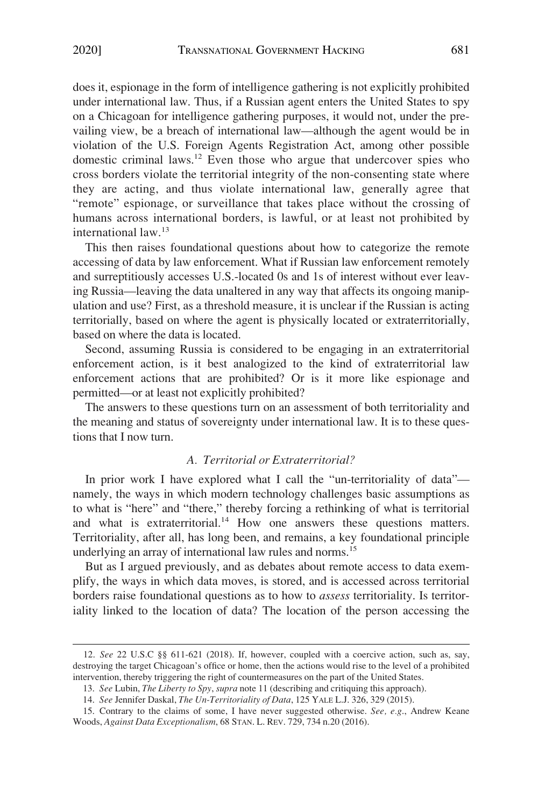does it, espionage in the form of intelligence gathering is not explicitly prohibited under international law. Thus, if a Russian agent enters the United States to spy on a Chicagoan for intelligence gathering purposes, it would not, under the prevailing view, be a breach of international law—although the agent would be in violation of the U.S. Foreign Agents Registration Act, among other possible domestic criminal laws.<sup>12</sup> Even those who argue that undercover spies who cross borders violate the territorial integrity of the non-consenting state where they are acting, and thus violate international law, generally agree that "remote" espionage, or surveillance that takes place without the crossing of humans across international borders, is lawful, or at least not prohibited by international law.<sup>13</sup>

This then raises foundational questions about how to categorize the remote accessing of data by law enforcement. What if Russian law enforcement remotely and surreptitiously accesses U.S.-located 0s and 1s of interest without ever leaving Russia—leaving the data unaltered in any way that affects its ongoing manipulation and use? First, as a threshold measure, it is unclear if the Russian is acting territorially, based on where the agent is physically located or extraterritorially, based on where the data is located.

Second, assuming Russia is considered to be engaging in an extraterritorial enforcement action, is it best analogized to the kind of extraterritorial law enforcement actions that are prohibited? Or is it more like espionage and permitted—or at least not explicitly prohibited?

The answers to these questions turn on an assessment of both territoriality and the meaning and status of sovereignty under international law. It is to these questions that I now turn.

## *A. Territorial or Extraterritorial?*

In prior work I have explored what I call the "un-territoriality of data" namely, the ways in which modern technology challenges basic assumptions as to what is "here" and "there," thereby forcing a rethinking of what is territorial and what is extraterritorial. $^{14}$  How one answers these questions matters. Territoriality, after all, has long been, and remains, a key foundational principle underlying an array of international law rules and norms.<sup>15</sup>

But as I argued previously, and as debates about remote access to data exemplify, the ways in which data moves, is stored, and is accessed across territorial borders raise foundational questions as to how to *assess* territoriality. Is territoriality linked to the location of data? The location of the person accessing the

<sup>12.</sup> *See* 22 U.S.C §§ 611-621 (2018). If, however, coupled with a coercive action, such as, say, destroying the target Chicagoan's office or home, then the actions would rise to the level of a prohibited intervention, thereby triggering the right of countermeasures on the part of the United States.

<sup>13.</sup> *See* Lubin, *The Liberty to Spy*, *supra* note 11 (describing and critiquing this approach).

<sup>14.</sup> *See* Jennifer Daskal, *The Un-Territoriality of Data*, 125 YALE L.J. 326, 329 (2015).

<sup>15.</sup> Contrary to the claims of some, I have never suggested otherwise. *See, e.g*., Andrew Keane Woods, *Against Data Exceptionalism*, 68 STAN. L. REV. 729, 734 n.20 (2016).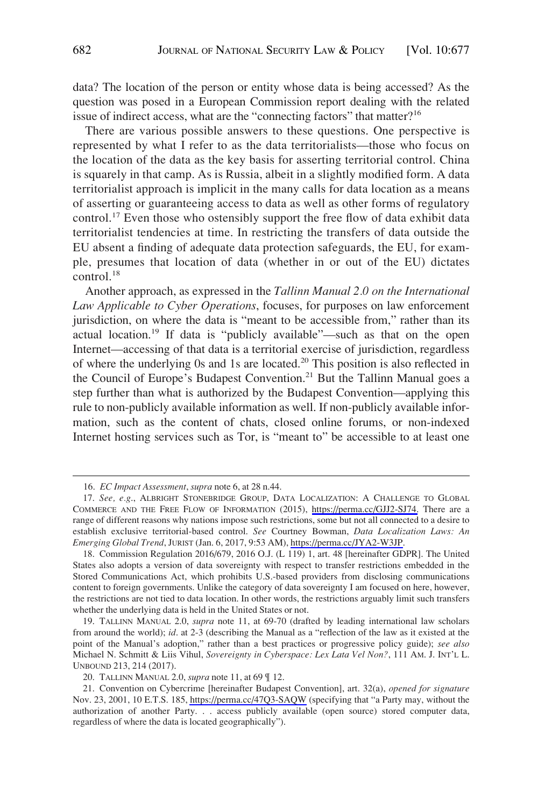data? The location of the person or entity whose data is being accessed? As the question was posed in a European Commission report dealing with the related issue of indirect access, what are the "connecting factors" that matter $?$ <sup>16</sup>

There are various possible answers to these questions. One perspective is represented by what I refer to as the data territorialists—those who focus on the location of the data as the key basis for asserting territorial control. China is squarely in that camp. As is Russia, albeit in a slightly modified form. A data territorialist approach is implicit in the many calls for data location as a means of asserting or guaranteeing access to data as well as other forms of regulatory control.<sup>17</sup> Even those who ostensibly support the free flow of data exhibit data territorialist tendencies at time. In restricting the transfers of data outside the EU absent a finding of adequate data protection safeguards, the EU, for example, presumes that location of data (whether in or out of the EU) dictates control.<sup>18</sup>

Another approach, as expressed in the *Tallinn Manual 2.0 on the International Law Applicable to Cyber Operations*, focuses, for purposes on law enforcement jurisdiction, on where the data is "meant to be accessible from," rather than its actual location.<sup>19</sup> If data is "publicly available"—such as that on the open Internet—accessing of that data is a territorial exercise of jurisdiction, regardless of where the underlying 0s and 1s are located.20 This position is also reflected in the Council of Europe's Budapest Convention.<sup>21</sup> But the Tallinn Manual goes a step further than what is authorized by the Budapest Convention—applying this rule to non-publicly available information as well. If non-publicly available information, such as the content of chats, closed online forums, or non-indexed Internet hosting services such as Tor, is "meant to" be accessible to at least one

<sup>16.</sup> *EC Impact Assessment*, *supra* note 6, at 28 n.44.

<sup>17.</sup> See, e.g., ALBRIGHT STONEBRIDGE GROUP, DATA LOCALIZATION: A CHALLENGE TO GLOBAL COMMERCE AND THE FREE FLOW OF INFORMATION (2015), [https://perma.cc/GJJ2-SJ74.](https://perma.cc/GJJ2-SJ74) There are a range of different reasons why nations impose such restrictions, some but not all connected to a desire to establish exclusive territorial-based control. *See* Courtney Bowman, *Data Localization Laws: An Emerging Global Trend*, JURIST (Jan. 6, 2017, 9:53 AM),<https://perma.cc/JYA2-W3JP>.

<sup>18.</sup> Commission Regulation 2016/679, 2016 O.J. (L 119) 1, art. 48 [hereinafter GDPR]. The United States also adopts a version of data sovereignty with respect to transfer restrictions embedded in the Stored Communications Act, which prohibits U.S.-based providers from disclosing communications content to foreign governments. Unlike the category of data sovereignty I am focused on here, however, the restrictions are not tied to data location. In other words, the restrictions arguably limit such transfers whether the underlying data is held in the United States or not.

<sup>19.</sup> TALLINN MANUAL 2.0, *supra* note 11, at 69-70 (drafted by leading international law scholars from around the world); *id*. at 2-3 (describing the Manual as a "reflection of the law as it existed at the point of the Manual's adoption," rather than a best practices or progressive policy guide); *see also*  Michael N. Schmitt & Liis Vihul, *Sovereignty in Cyberspace: Lex Lata Vel Non?*, 111 AM. J. INT'L L. UNBOUND 213, 214 (2017).

<sup>20.</sup> TALLINN MANUAL 2.0, *supra* note 11, at 69 ¶ 12.

Convention on Cybercrime [hereinafter Budapest Convention], art. 32(a), *opened for signature*  21. Nov. 23, 2001, 10 E.T.S. 185,<https://perma.cc/47Q3-SAQW>(specifying that "a Party may, without the authorization of another Party. . . access publicly available (open source) stored computer data, regardless of where the data is located geographically").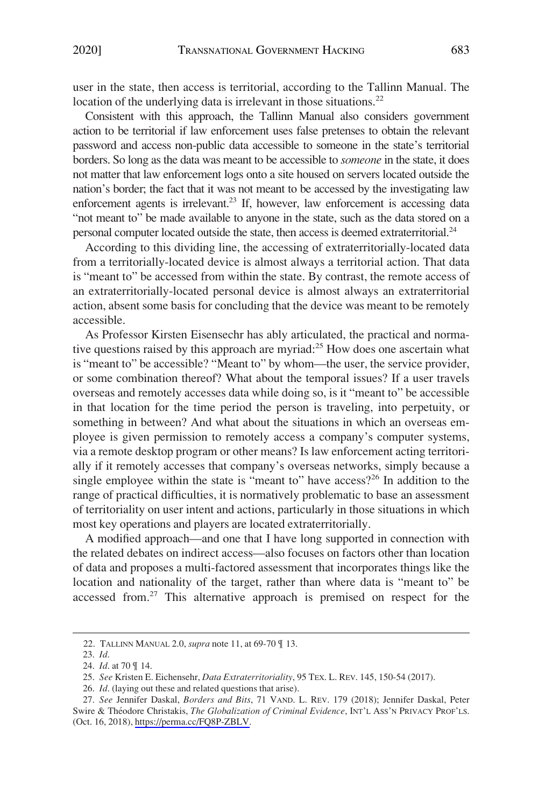user in the state, then access is territorial, according to the Tallinn Manual. The location of the underlying data is irrelevant in those situations.<sup>22</sup>

Consistent with this approach, the Tallinn Manual also considers government action to be territorial if law enforcement uses false pretenses to obtain the relevant password and access non-public data accessible to someone in the state's territorial borders. So long as the data was meant to be accessible to *someone* in the state, it does not matter that law enforcement logs onto a site housed on servers located outside the nation's border; the fact that it was not meant to be accessed by the investigating law enforcement agents is irrelevant.<sup>23</sup> If, however, law enforcement is accessing data "not meant to" be made available to anyone in the state, such as the data stored on a personal computer located outside the state, then access is deemed extraterritorial.<sup>24</sup>

According to this dividing line, the accessing of extraterritorially-located data from a territorially-located device is almost always a territorial action. That data is "meant to" be accessed from within the state. By contrast, the remote access of an extraterritorially-located personal device is almost always an extraterritorial action, absent some basis for concluding that the device was meant to be remotely accessible.

As Professor Kirsten Eisensechr has ably articulated, the practical and normative questions raised by this approach are myriad:<sup>25</sup> How does one ascertain what is "meant to" be accessible? "Meant to" by whom—the user, the service provider, or some combination thereof? What about the temporal issues? If a user travels overseas and remotely accesses data while doing so, is it "meant to" be accessible in that location for the time period the person is traveling, into perpetuity, or something in between? And what about the situations in which an overseas employee is given permission to remotely access a company's computer systems, via a remote desktop program or other means? Is law enforcement acting territorially if it remotely accesses that company's overseas networks, simply because a single employee within the state is "meant to" have  $access?^{26}$  In addition to the range of practical difficulties, it is normatively problematic to base an assessment of territoriality on user intent and actions, particularly in those situations in which most key operations and players are located extraterritorially.

A modified approach—and one that I have long supported in connection with the related debates on indirect access—also focuses on factors other than location of data and proposes a multi-factored assessment that incorporates things like the location and nationality of the target, rather than where data is "meant to" be accessed from.<sup>27</sup> This alternative approach is premised on respect for the

<sup>22.</sup> TALLINN MANUAL 2.0, *supra* note 11, at 69-70 ¶ 13.

<sup>23.</sup> *Id*.

<sup>24.</sup> *Id*. at 70 ¶ 14.

<sup>25.</sup> *See* Kristen E. Eichensehr, *Data Extraterritoriality*, 95 TEX. L. REV. 145, 150-54 (2017).

<sup>26.</sup> *Id*. (laying out these and related questions that arise).

*See* Jennifer Daskal, *Borders and Bits*, 71 VAND. L. REV. 179 (2018); Jennifer Daskal, Peter 27. Swire & The´odore Christakis, *The Globalization of Criminal Evidence*, INT'L ASS'N PRIVACY PROF'LS. (Oct. 16, 2018), [https://perma.cc/FQ8P-ZBLV.](https://perma.cc/FQ8P-ZBLV)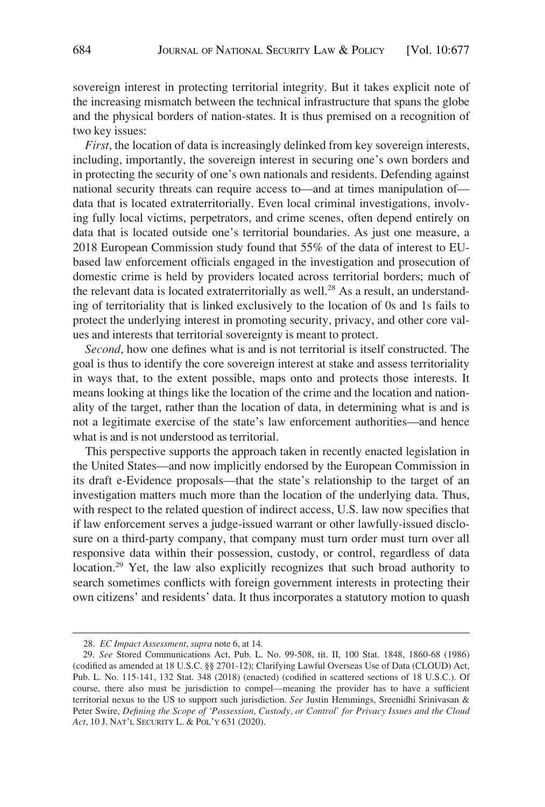sovereign interest in protecting territorial integrity. But it takes explicit note of the increasing mismatch between the technical infrastructure that spans the globe and the physical borders of nation-states. It is thus premised on a recognition of two key issues:

*First*, the location of data is increasingly delinked from key sovereign interests, including, importantly, the sovereign interest in securing one's own borders and in protecting the security of one's own nationals and residents. Defending against national security threats can require access to—and at times manipulation of data that is located extraterritorially. Even local criminal investigations, involving fully local victims, perpetrators, and crime scenes, often depend entirely on data that is located outside one's territorial boundaries. As just one measure, a 2018 European Commission study found that 55% of the data of interest to EUbased law enforcement officials engaged in the investigation and prosecution of domestic crime is held by providers located across territorial borders; much of the relevant data is located extraterritorially as well.<sup>28</sup> As a result, an understanding of territoriality that is linked exclusively to the location of 0s and 1s fails to protect the underlying interest in promoting security, privacy, and other core values and interests that territorial sovereignty is meant to protect.

*Second*, how one defines what is and is not territorial is itself constructed. The goal is thus to identify the core sovereign interest at stake and assess territoriality in ways that, to the extent possible, maps onto and protects those interests. It means looking at things like the location of the crime and the location and nationality of the target, rather than the location of data, in determining what is and is not a legitimate exercise of the state's law enforcement authorities—and hence what is and is not understood as territorial.

This perspective supports the approach taken in recently enacted legislation in the United States—and now implicitly endorsed by the European Commission in its draft e-Evidence proposals—that the state's relationship to the target of an investigation matters much more than the location of the underlying data. Thus, with respect to the related question of indirect access, U.S. law now specifies that if law enforcement serves a judge-issued warrant or other lawfully-issued disclosure on a third-party company, that company must turn order must turn over all responsive data within their possession, custody, or control, regardless of data location.<sup>29</sup> Yet, the law also explicitly recognizes that such broad authority to search sometimes conflicts with foreign government interests in protecting their own citizens' and residents' data. It thus incorporates a statutory motion to quash

<sup>28.</sup> *EC Impact Assessment*, *supra* note 6, at 14.

<sup>29.</sup> *See* Stored Communications Act, Pub. L. No. 99-508, tit. II, 100 Stat. 1848, 1860-68 (1986) (codified as amended at 18 U.S.C. §§ 2701-12); Clarifying Lawful Overseas Use of Data (CLOUD) Act, Pub. L. No. 115-141, 132 Stat. 348 (2018) (enacted) (codified in scattered sections of 18 U.S.C.). Of course, there also must be jurisdiction to compel—meaning the provider has to have a sufficient territorial nexus to the US to support such jurisdiction. *See* Justin Hemmings, Sreenidhi Srinivasan & Peter Swire, *Defining the Scope of 'Possession, Custody, or Control' for Privacy Issues and the Cloud Act*, 10 J. NAT'L SECURITY L. & POL'Y 631 (2020).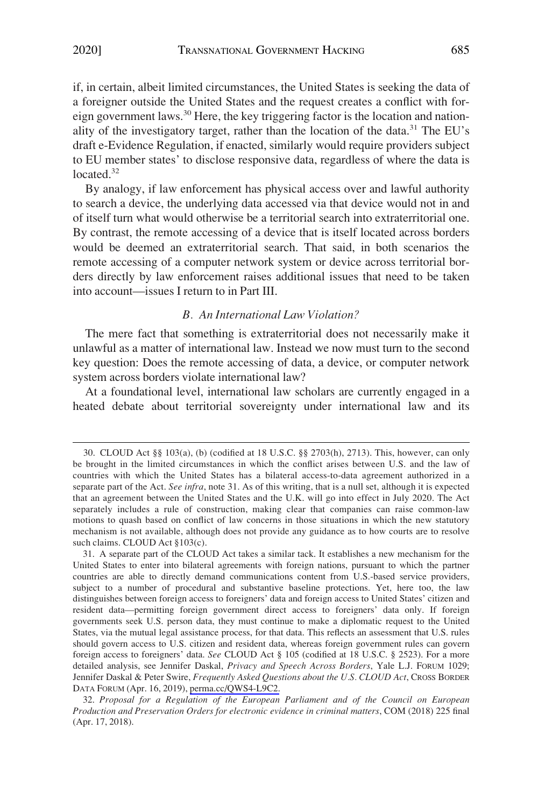if, in certain, albeit limited circumstances, the United States is seeking the data of a foreigner outside the United States and the request creates a conflict with foreign government laws.30 Here, the key triggering factor is the location and nationality of the investigatory target, rather than the location of the data.<sup>31</sup> The EU's draft e-Evidence Regulation, if enacted, similarly would require providers subject to EU member states' to disclose responsive data, regardless of where the data is located.<sup>32</sup>

By analogy, if law enforcement has physical access over and lawful authority to search a device, the underlying data accessed via that device would not in and of itself turn what would otherwise be a territorial search into extraterritorial one. By contrast, the remote accessing of a device that is itself located across borders would be deemed an extraterritorial search. That said, in both scenarios the remote accessing of a computer network system or device across territorial borders directly by law enforcement raises additional issues that need to be taken into account—issues I return to in Part III.

## *B. An International Law Violation?*

The mere fact that something is extraterritorial does not necessarily make it unlawful as a matter of international law. Instead we now must turn to the second key question: Does the remote accessing of data, a device, or computer network system across borders violate international law?

At a foundational level, international law scholars are currently engaged in a heated debate about territorial sovereignty under international law and its

<sup>30.</sup> CLOUD Act §§ 103(a), (b) (codified at 18 U.S.C. §§ 2703(h), 2713). This, however, can only be brought in the limited circumstances in which the conflict arises between U.S. and the law of countries with which the United States has a bilateral access-to-data agreement authorized in a separate part of the Act. *See infra*, note 31. As of this writing, that is a null set, although it is expected that an agreement between the United States and the U.K. will go into effect in July 2020. The Act separately includes a rule of construction, making clear that companies can raise common-law motions to quash based on conflict of law concerns in those situations in which the new statutory mechanism is not available, although does not provide any guidance as to how courts are to resolve such claims. CLOUD Act §103(c).

A separate part of the CLOUD Act takes a similar tack. It establishes a new mechanism for the 31. United States to enter into bilateral agreements with foreign nations, pursuant to which the partner countries are able to directly demand communications content from U.S.-based service providers, subject to a number of procedural and substantive baseline protections. Yet, here too, the law distinguishes between foreign access to foreigners' data and foreign access to United States' citizen and resident data—permitting foreign government direct access to foreigners' data only. If foreign governments seek U.S. person data, they must continue to make a diplomatic request to the United States, via the mutual legal assistance process, for that data. This reflects an assessment that U.S. rules should govern access to U.S. citizen and resident data, whereas foreign government rules can govern foreign access to foreigners' data. *See* CLOUD Act § 105 (codified at 18 U.S.C. § 2523). For a more detailed analysis, see Jennifer Daskal, *Privacy and Speech Across Borders*, Yale L.J. FORUM 1029; Jennifer Daskal & Peter Swire, *Frequently Asked Questions about the U.S. CLOUD Act*, CROSS BORDER DATA FORUM (Apr. 16, 2019), [perma.cc/QWS4-L9C2.](https://perma.cc/QWS4-L9C2)

<sup>32.</sup> *Proposal for a Regulation of the European Parliament and of the Council on European Production and Preservation Orders for electronic evidence in criminal matters*, COM (2018) 225 final (Apr. 17, 2018).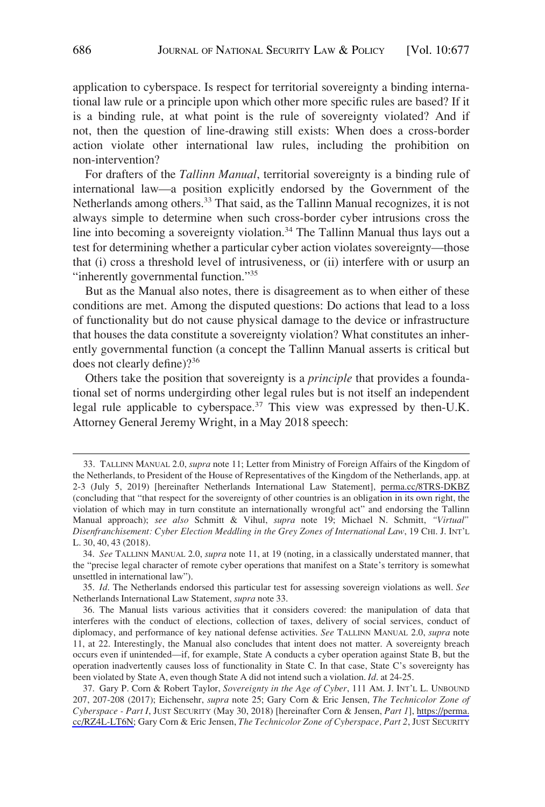application to cyberspace. Is respect for territorial sovereignty a binding international law rule or a principle upon which other more specific rules are based? If it is a binding rule, at what point is the rule of sovereignty violated? And if not, then the question of line-drawing still exists: When does a cross-border action violate other international law rules, including the prohibition on non-intervention?

For drafters of the *Tallinn Manual*, territorial sovereignty is a binding rule of international law—a position explicitly endorsed by the Government of the Netherlands among others.<sup>33</sup> That said, as the Tallinn Manual recognizes, it is not always simple to determine when such cross-border cyber intrusions cross the line into becoming a sovereignty violation.<sup>34</sup> The Tallinn Manual thus lays out a test for determining whether a particular cyber action violates sovereignty—those that (i) cross a threshold level of intrusiveness, or (ii) interfere with or usurp an "inherently governmental function."<sup>35</sup>

But as the Manual also notes, there is disagreement as to when either of these conditions are met. Among the disputed questions: Do actions that lead to a loss of functionality but do not cause physical damage to the device or infrastructure that houses the data constitute a sovereignty violation? What constitutes an inherently governmental function (a concept the Tallinn Manual asserts is critical but does not clearly define)?36

Others take the position that sovereignty is a *principle* that provides a foundational set of norms undergirding other legal rules but is not itself an independent legal rule applicable to cyberspace.<sup>37</sup> This view was expressed by then-U.K. Attorney General Jeremy Wright, in a May 2018 speech:

TALLINN MANUAL 2.0, *supra* note 11; Letter from Ministry of Foreign Affairs of the Kingdom of 33. the Netherlands, to President of the House of Representatives of the Kingdom of the Netherlands, app. at 2-3 (July 5, 2019) [hereinafter Netherlands International Law Statement], [perma.cc/8TRS-DKBZ](https://perma.cc/8TRS-DKBZ)  (concluding that "that respect for the sovereignty of other countries is an obligation in its own right, the violation of which may in turn constitute an internationally wrongful act" and endorsing the Tallinn Manual approach); *see also* Schmitt & Vihul, *supra* note 19; Michael N. Schmitt, *"Virtual" Disenfranchisement: Cyber Election Meddling in the Grey Zones of International Law*, 19 CHI. J. INT'L L. 30, 40, 43 (2018).

<sup>34.</sup> *See* TALLINN MANUAL 2.0, *supra* note 11, at 19 (noting, in a classically understated manner, that the "precise legal character of remote cyber operations that manifest on a State's territory is somewhat unsettled in international law").

<sup>35.</sup> *Id*. The Netherlands endorsed this particular test for assessing sovereign violations as well. *See*  Netherlands International Law Statement, *supra* note 33.

<sup>36.</sup> The Manual lists various activities that it considers covered: the manipulation of data that interferes with the conduct of elections, collection of taxes, delivery of social services, conduct of diplomacy, and performance of key national defense activities. *See* TALLINN MANUAL 2.0, *supra* note 11, at 22. Interestingly, the Manual also concludes that intent does not matter. A sovereignty breach occurs even if unintended—if, for example, State A conducts a cyber operation against State B, but the operation inadvertently causes loss of functionality in State C. In that case, State C's sovereignty has been violated by State A, even though State A did not intend such a violation. *Id*. at 24-25.

<sup>37.</sup> Gary P. Corn & Robert Taylor, *Sovereignty in the Age of Cyber*, 111 AM. J. INT'L L. UNBOUND 207, 207-208 (2017); Eichensehr, *supra* note 25; Gary Corn & Eric Jensen, *The Technicolor Zone of Cyberspace - Part I*, JUST SECURITY (May 30, 2018) [hereinafter Corn & Jensen, *Part 1*], [https://perma.](https://perma.cc/RZ4L-LT6N)  [cc/RZ4L-LT6N;](https://perma.cc/RZ4L-LT6N) Gary Corn & Eric Jensen, *The Technicolor Zone of Cyberspace, Part 2*, JUST SECURITY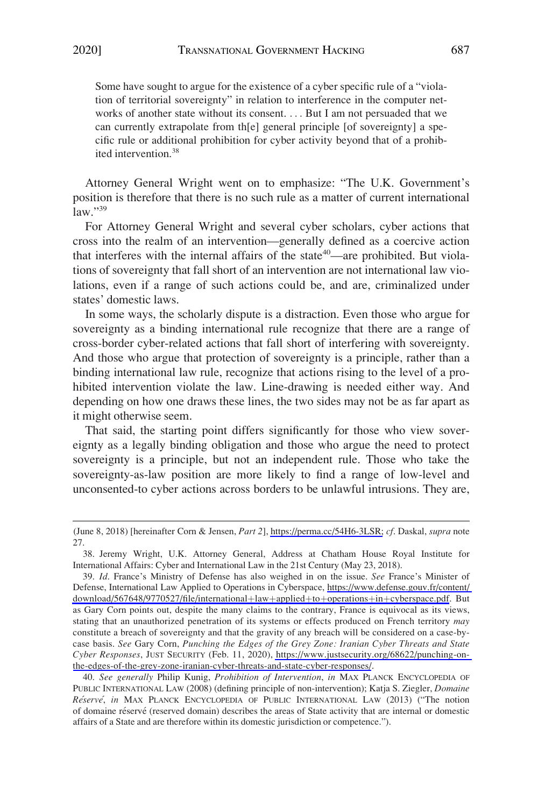Some have sought to argue for the existence of a cyber specific rule of a "violation of territorial sovereignty" in relation to interference in the computer networks of another state without its consent. . . . But I am not persuaded that we can currently extrapolate from th[e] general principle [of sovereignty] a specific rule or additional prohibition for cyber activity beyond that of a prohibited intervention.<sup>38</sup>

Attorney General Wright went on to emphasize: "The U.K. Government's position is therefore that there is no such rule as a matter of current international  $law.$ "39

For Attorney General Wright and several cyber scholars, cyber actions that cross into the realm of an intervention—generally defined as a coercive action that interferes with the internal affairs of the state<sup>40</sup>—are prohibited. But violations of sovereignty that fall short of an intervention are not international law violations, even if a range of such actions could be, and are, criminalized under states' domestic laws.

In some ways, the scholarly dispute is a distraction. Even those who argue for sovereignty as a binding international rule recognize that there are a range of cross-border cyber-related actions that fall short of interfering with sovereignty. And those who argue that protection of sovereignty is a principle, rather than a binding international law rule, recognize that actions rising to the level of a prohibited intervention violate the law. Line-drawing is needed either way. And depending on how one draws these lines, the two sides may not be as far apart as it might otherwise seem.

That said, the starting point differs significantly for those who view sovereignty as a legally binding obligation and those who argue the need to protect sovereignty is a principle, but not an independent rule. Those who take the sovereignty-as-law position are more likely to find a range of low-level and unconsented-to cyber actions across borders to be unlawful intrusions. They are,

<sup>(</sup>June 8, 2018) [hereinafter Corn & Jensen, *Part 2*], [https://perma.cc/54H6-3LSR;](https://perma.cc/54H6-3LSR) *cf*. Daskal, *supra* note 27.

<sup>38.</sup> Jeremy Wright, U.K. Attorney General, Address at Chatham House Royal Institute for International Affairs: Cyber and International Law in the 21st Century (May 23, 2018).

*Id*. France's Ministry of Defense has also weighed in on the issue. *See* France's Minister of 39. Defense, International Law Applied to Operations in Cyberspace, [https://www.defense.gouv.fr/content/](https://www.defense.gouv.fr/content/download/567648/9770527/file/international+law+applied+to+operations+in+cyberspace.pdf)  [download/567648/9770527/file/international](https://www.defense.gouv.fr/content/download/567648/9770527/file/international+law+applied+to+operations+in+cyberspace.pdf)+law+applied+to+operations+in+cyberspace.pdf. But as Gary Corn points out, despite the many claims to the contrary, France is equivocal as its views, stating that an unauthorized penetration of its systems or effects produced on French territory *may*  constitute a breach of sovereignty and that the gravity of any breach will be considered on a case-bycase basis. *See* Gary Corn, *Punching the Edges of the Grey Zone: Iranian Cyber Threats and State Cyber Responses*, JUST SECURITY (Feb. 11, 2020), [https://www.justsecurity.org/68622/punching-on](https://www.justsecurity.org/68622/punching-on-the-edges-of-the-grey-zone-iranian-cyber-threats-and-state-cyber-responses/)[the-edges-of-the-grey-zone-iranian-cyber-threats-and-state-cyber-responses/](https://www.justsecurity.org/68622/punching-on-the-edges-of-the-grey-zone-iranian-cyber-threats-and-state-cyber-responses/).

<sup>40.</sup> *See generally* Philip Kunig, *Prohibition of Intervention*, *in* MAX PLANCK ENCYCLOPEDIA OF PUBLIC INTERNATIONAL LAW (2008) (defining principle of non-intervention); Katja S. Ziegler, *Domaine Re´serve´*, *in* MAX PLANCK ENCYCLOPEDIA OF PUBLIC INTERNATIONAL LAW (2013) ("The notion of domaine réservé (reserved domain) describes the areas of State activity that are internal or domestic affairs of a State and are therefore within its domestic jurisdiction or competence.").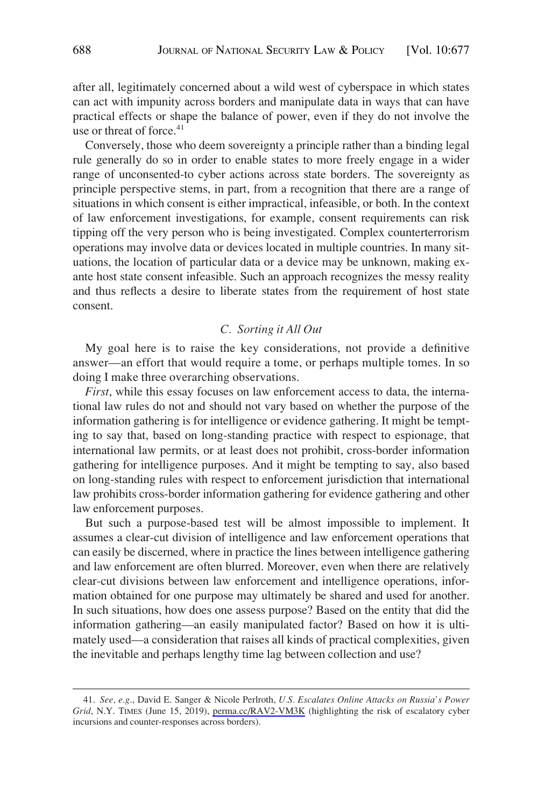after all, legitimately concerned about a wild west of cyberspace in which states can act with impunity across borders and manipulate data in ways that can have practical effects or shape the balance of power, even if they do not involve the use or threat of force.<sup>41</sup>

Conversely, those who deem sovereignty a principle rather than a binding legal rule generally do so in order to enable states to more freely engage in a wider range of unconsented-to cyber actions across state borders. The sovereignty as principle perspective stems, in part, from a recognition that there are a range of situations in which consent is either impractical, infeasible, or both. In the context of law enforcement investigations, for example, consent requirements can risk tipping off the very person who is being investigated. Complex counterterrorism operations may involve data or devices located in multiple countries. In many situations, the location of particular data or a device may be unknown, making exante host state consent infeasible. Such an approach recognizes the messy reality and thus reflects a desire to liberate states from the requirement of host state consent.

## *C. Sorting it All Out*

My goal here is to raise the key considerations, not provide a definitive answer—an effort that would require a tome, or perhaps multiple tomes. In so doing I make three overarching observations.

*First*, while this essay focuses on law enforcement access to data, the international law rules do not and should not vary based on whether the purpose of the information gathering is for intelligence or evidence gathering. It might be tempting to say that, based on long-standing practice with respect to espionage, that international law permits, or at least does not prohibit, cross-border information gathering for intelligence purposes. And it might be tempting to say, also based on long-standing rules with respect to enforcement jurisdiction that international law prohibits cross-border information gathering for evidence gathering and other law enforcement purposes.

But such a purpose-based test will be almost impossible to implement. It assumes a clear-cut division of intelligence and law enforcement operations that can easily be discerned, where in practice the lines between intelligence gathering and law enforcement are often blurred. Moreover, even when there are relatively clear-cut divisions between law enforcement and intelligence operations, information obtained for one purpose may ultimately be shared and used for another. In such situations, how does one assess purpose? Based on the entity that did the information gathering—an easily manipulated factor? Based on how it is ultimately used—a consideration that raises all kinds of practical complexities, given the inevitable and perhaps lengthy time lag between collection and use?

*See, e.g*., David E. Sanger & Nicole Perlroth, *U.S. Escalates Online Attacks on Russia's Power*  41. *Grid*, N.Y. TIMES (June 15, 2019), [perma.cc/RAV2-VM3K](https://perma.cc/RAV2-VM3K) (highlighting the risk of escalatory cyber incursions and counter-responses across borders).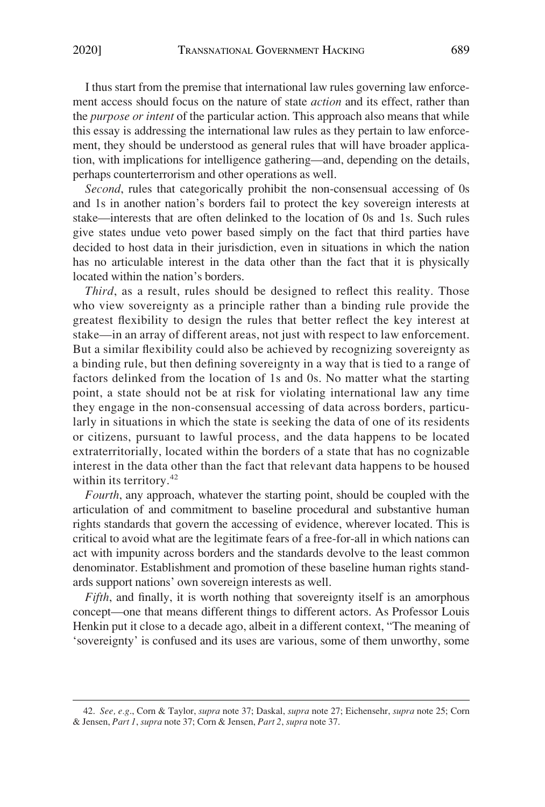I thus start from the premise that international law rules governing law enforcement access should focus on the nature of state *action* and its effect, rather than the *purpose or intent* of the particular action. This approach also means that while this essay is addressing the international law rules as they pertain to law enforcement, they should be understood as general rules that will have broader application, with implications for intelligence gathering—and, depending on the details, perhaps counterterrorism and other operations as well.

*Second*, rules that categorically prohibit the non-consensual accessing of 0s and 1s in another nation's borders fail to protect the key sovereign interests at stake—interests that are often delinked to the location of 0s and 1s. Such rules give states undue veto power based simply on the fact that third parties have decided to host data in their jurisdiction, even in situations in which the nation has no articulable interest in the data other than the fact that it is physically located within the nation's borders.

*Third*, as a result, rules should be designed to reflect this reality. Those who view sovereignty as a principle rather than a binding rule provide the greatest flexibility to design the rules that better reflect the key interest at stake—in an array of different areas, not just with respect to law enforcement. But a similar flexibility could also be achieved by recognizing sovereignty as a binding rule, but then defining sovereignty in a way that is tied to a range of factors delinked from the location of 1s and 0s. No matter what the starting point, a state should not be at risk for violating international law any time they engage in the non-consensual accessing of data across borders, particularly in situations in which the state is seeking the data of one of its residents or citizens, pursuant to lawful process, and the data happens to be located extraterritorially, located within the borders of a state that has no cognizable interest in the data other than the fact that relevant data happens to be housed within its territory.<sup>42</sup>

*Fourth*, any approach, whatever the starting point, should be coupled with the articulation of and commitment to baseline procedural and substantive human rights standards that govern the accessing of evidence, wherever located. This is critical to avoid what are the legitimate fears of a free-for-all in which nations can act with impunity across borders and the standards devolve to the least common denominator. Establishment and promotion of these baseline human rights standards support nations' own sovereign interests as well.

*Fifth*, and finally, it is worth nothing that sovereignty itself is an amorphous concept—one that means different things to different actors. As Professor Louis Henkin put it close to a decade ago, albeit in a different context, "The meaning of 'sovereignty' is confused and its uses are various, some of them unworthy, some

<sup>42.</sup> *See, e.g*., Corn & Taylor, *supra* note 37; Daskal, *supra* note 27; Eichensehr, *supra* note 25; Corn & Jensen, *Part 1*, *supra* note 37; Corn & Jensen, *Part 2*, *supra* note 37.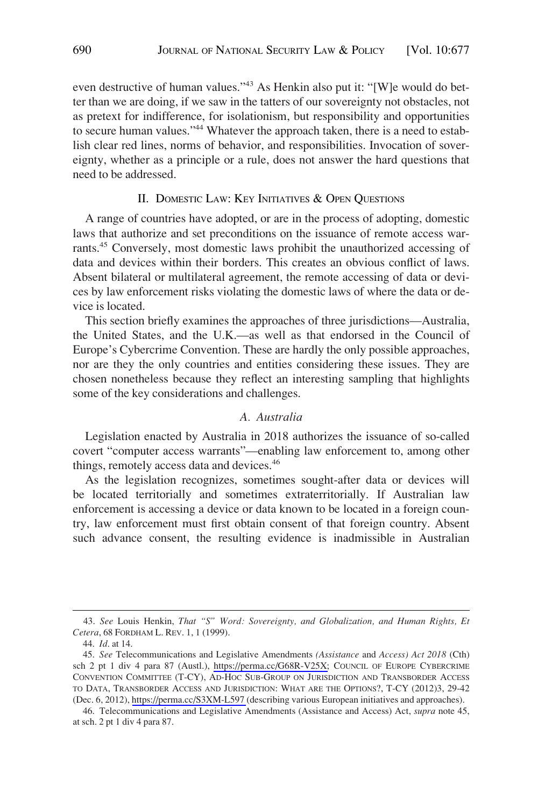even destructive of human values."<sup>43</sup> As Henkin also put it: "[W]e would do better than we are doing, if we saw in the tatters of our sovereignty not obstacles, not as pretext for indifference, for isolationism, but responsibility and opportunities to secure human values."<sup>44</sup> Whatever the approach taken, there is a need to establish clear red lines, norms of behavior, and responsibilities. Invocation of sovereignty, whether as a principle or a rule, does not answer the hard questions that need to be addressed.

#### II. DOMESTIC LAW: KEY INITIATIVES & OPEN QUESTIONS

A range of countries have adopted, or are in the process of adopting, domestic laws that authorize and set preconditions on the issuance of remote access warrants.<sup>45</sup> Conversely, most domestic laws prohibit the unauthorized accessing of data and devices within their borders. This creates an obvious conflict of laws. Absent bilateral or multilateral agreement, the remote accessing of data or devices by law enforcement risks violating the domestic laws of where the data or device is located.

This section briefly examines the approaches of three jurisdictions—Australia, the United States, and the U.K.—as well as that endorsed in the Council of Europe's Cybercrime Convention. These are hardly the only possible approaches, nor are they the only countries and entities considering these issues. They are chosen nonetheless because they reflect an interesting sampling that highlights some of the key considerations and challenges.

#### *A. Australia*

Legislation enacted by Australia in 2018 authorizes the issuance of so-called covert "computer access warrants"—enabling law enforcement to, among other things, remotely access data and devices.<sup>46</sup>

As the legislation recognizes, sometimes sought-after data or devices will be located territorially and sometimes extraterritorially. If Australian law enforcement is accessing a device or data known to be located in a foreign country, law enforcement must first obtain consent of that foreign country. Absent such advance consent, the resulting evidence is inadmissible in Australian

<sup>43.</sup> *See* Louis Henkin, *That "S" Word: Sovereignty, and Globalization, and Human Rights, Et Cetera*, 68 FORDHAM L. REV. 1, 1 (1999).

<sup>44.</sup> *Id*. at 14.

*See* Telecommunications and Legislative Amendments *(Assistance* and *Access) Act 2018* (Cth) 45. sch 2 pt 1 div 4 para 87 (Austl.), [https://perma.cc/G68R-V25X;](https://perma.cc/G68R-V25X) COUNCIL OF EUROPE CYBERCRIME CONVENTION COMMITTEE (T-CY), AD-HOC SUB-GROUP ON JURISDICTION AND TRANSBORDER ACCESS TO DATA, TRANSBORDER ACCESS AND JURISDICTION: WHAT ARE THE OPTIONS?, T-CY (2012)3, 29-42 (Dec. 6, 2012), <https://perma.cc/S3XM-L597>(describing various European initiatives and approaches).

<sup>46.</sup> Telecommunications and Legislative Amendments (Assistance and Access) Act, *supra* note 45, at sch. 2 pt 1 div 4 para 87.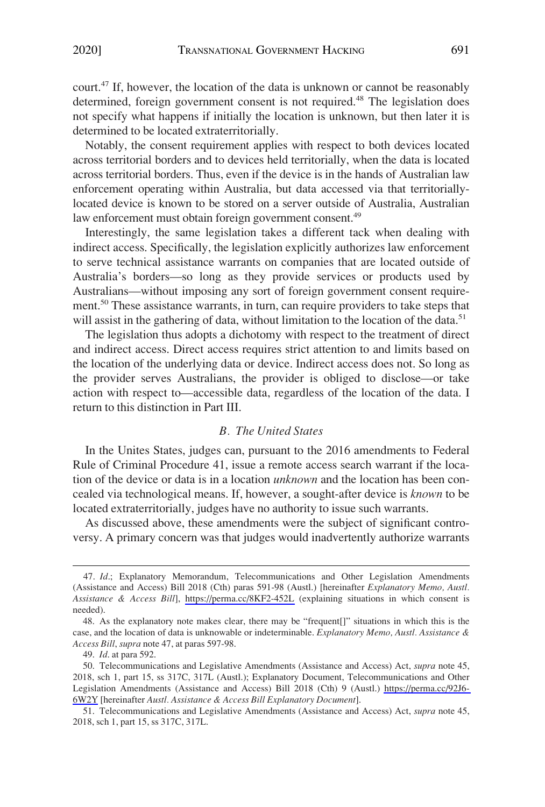court.<sup>47</sup> If, however, the location of the data is unknown or cannot be reasonably determined, foreign government consent is not required.<sup>48</sup> The legislation does not specify what happens if initially the location is unknown, but then later it is determined to be located extraterritorially.

Notably, the consent requirement applies with respect to both devices located across territorial borders and to devices held territorially, when the data is located across territorial borders. Thus, even if the device is in the hands of Australian law enforcement operating within Australia, but data accessed via that territoriallylocated device is known to be stored on a server outside of Australia, Australian law enforcement must obtain foreign government consent.<sup>49</sup>

Interestingly, the same legislation takes a different tack when dealing with indirect access. Specifically, the legislation explicitly authorizes law enforcement to serve technical assistance warrants on companies that are located outside of Australia's borders—so long as they provide services or products used by Australians—without imposing any sort of foreign government consent requirement.<sup>50</sup> These assistance warrants, in turn, can require providers to take steps that will assist in the gathering of data, without limitation to the location of the data.<sup>51</sup>

The legislation thus adopts a dichotomy with respect to the treatment of direct and indirect access. Direct access requires strict attention to and limits based on the location of the underlying data or device. Indirect access does not. So long as the provider serves Australians, the provider is obliged to disclose—or take action with respect to—accessible data, regardless of the location of the data. I return to this distinction in Part III.

#### *B. The United States*

In the Unites States, judges can, pursuant to the 2016 amendments to Federal Rule of Criminal Procedure 41, issue a remote access search warrant if the location of the device or data is in a location *unknown* and the location has been concealed via technological means. If, however, a sought-after device is *known* to be located extraterritorially, judges have no authority to issue such warrants.

As discussed above, these amendments were the subject of significant controversy. A primary concern was that judges would inadvertently authorize warrants

<sup>47.</sup> Id.; Explanatory Memorandum, Telecommunications and Other Legislation Amendments (Assistance and Access) Bill 2018 (Cth) paras 591-98 (Austl.) [hereinafter *Explanatory Memo, Austl. Assistance & Access Bill*], <https://perma.cc/8KF2-452L>(explaining situations in which consent is needed).

<sup>48.</sup> As the explanatory note makes clear, there may be "frequent[]" situations in which this is the case, and the location of data is unknowable or indeterminable. *Explanatory Memo, Austl. Assistance & Access Bill*, *supra* note 47, at paras 597-98.

<sup>49.</sup> *Id*. at para 592.

<sup>50.</sup> Telecommunications and Legislative Amendments (Assistance and Access) Act, *supra* note 45, 2018, sch 1, part 15, ss 317C, 317L (Austl.); Explanatory Document, Telecommunications and Other Legislation Amendments (Assistance and Access) Bill 2018 (Cth) 9 (Austl.) [https://perma.cc/92J6-](https://perma.cc/92J6-6W2Y)  [6W2Y](https://perma.cc/92J6-6W2Y) [hereinafter *Austl. Assistance & Access Bill Explanatory Document*].

<sup>51.</sup> Telecommunications and Legislative Amendments (Assistance and Access) Act, *supra* note 45, 2018, sch 1, part 15, ss 317C, 317L.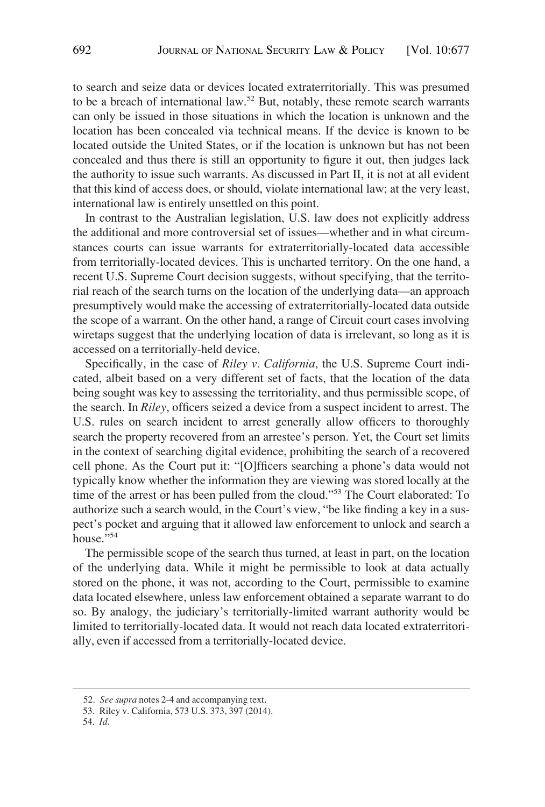to search and seize data or devices located extraterritorially. This was presumed to be a breach of international law.<sup>52</sup> But, notably, these remote search warrants can only be issued in those situations in which the location is unknown and the location has been concealed via technical means. If the device is known to be located outside the United States, or if the location is unknown but has not been concealed and thus there is still an opportunity to figure it out, then judges lack the authority to issue such warrants. As discussed in Part II, it is not at all evident that this kind of access does, or should, violate international law; at the very least, international law is entirely unsettled on this point.

In contrast to the Australian legislation, U.S. law does not explicitly address the additional and more controversial set of issues—whether and in what circumstances courts can issue warrants for extraterritorially-located data accessible from territorially-located devices. This is uncharted territory. On the one hand, a recent U.S. Supreme Court decision suggests, without specifying, that the territorial reach of the search turns on the location of the underlying data—an approach presumptively would make the accessing of extraterritorially-located data outside the scope of a warrant. On the other hand, a range of Circuit court cases involving wiretaps suggest that the underlying location of data is irrelevant, so long as it is accessed on a territorially-held device.

Specifically, in the case of *Riley v. California*, the U.S. Supreme Court indicated, albeit based on a very different set of facts, that the location of the data being sought was key to assessing the territoriality, and thus permissible scope, of the search. In *Riley*, officers seized a device from a suspect incident to arrest. The U.S. rules on search incident to arrest generally allow officers to thoroughly search the property recovered from an arrestee's person. Yet, the Court set limits in the context of searching digital evidence, prohibiting the search of a recovered cell phone. As the Court put it: "[O]fficers searching a phone's data would not typically know whether the information they are viewing was stored locally at the time of the arrest or has been pulled from the cloud."53 The Court elaborated: To authorize such a search would, in the Court's view, "be like finding a key in a suspect's pocket and arguing that it allowed law enforcement to unlock and search a house."54

The permissible scope of the search thus turned, at least in part, on the location of the underlying data. While it might be permissible to look at data actually stored on the phone, it was not, according to the Court, permissible to examine data located elsewhere, unless law enforcement obtained a separate warrant to do so. By analogy, the judiciary's territorially-limited warrant authority would be limited to territorially-located data. It would not reach data located extraterritorially, even if accessed from a territorially-located device.

54. *Id*.

<sup>52.</sup> *See supra* notes 2-4 and accompanying text.

<sup>53.</sup> Riley v. California, 573 U.S. 373, 397 (2014).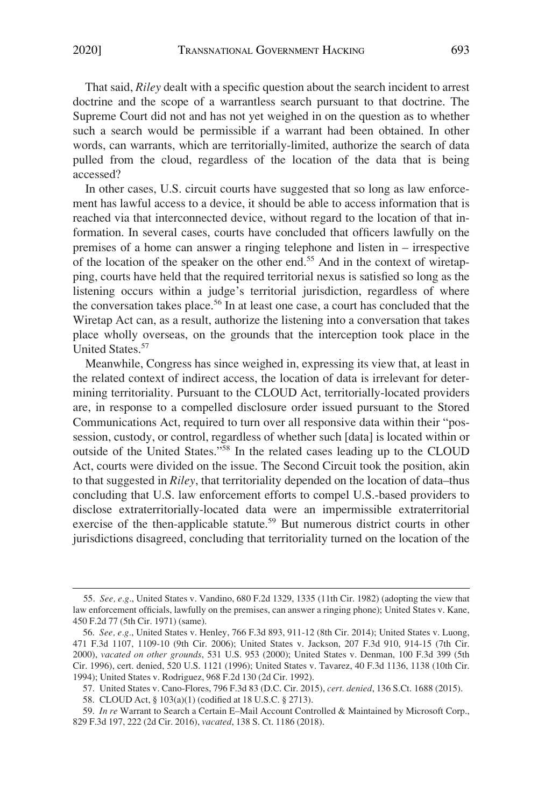That said, *Riley* dealt with a specific question about the search incident to arrest doctrine and the scope of a warrantless search pursuant to that doctrine. The Supreme Court did not and has not yet weighed in on the question as to whether such a search would be permissible if a warrant had been obtained. In other words, can warrants, which are territorially-limited, authorize the search of data pulled from the cloud, regardless of the location of the data that is being accessed?

In other cases, U.S. circuit courts have suggested that so long as law enforcement has lawful access to a device, it should be able to access information that is reached via that interconnected device, without regard to the location of that information. In several cases, courts have concluded that officers lawfully on the premises of a home can answer a ringing telephone and listen in – irrespective of the location of the speaker on the other end.55 And in the context of wiretapping, courts have held that the required territorial nexus is satisfied so long as the listening occurs within a judge's territorial jurisdiction, regardless of where the conversation takes place.<sup>56</sup> In at least one case, a court has concluded that the Wiretap Act can, as a result, authorize the listening into a conversation that takes place wholly overseas, on the grounds that the interception took place in the United States.<sup>57</sup>

Meanwhile, Congress has since weighed in, expressing its view that, at least in the related context of indirect access, the location of data is irrelevant for determining territoriality. Pursuant to the CLOUD Act, territorially-located providers are, in response to a compelled disclosure order issued pursuant to the Stored Communications Act, required to turn over all responsive data within their "possession, custody, or control, regardless of whether such [data] is located within or outside of the United States."58 In the related cases leading up to the CLOUD Act, courts were divided on the issue. The Second Circuit took the position, akin to that suggested in *Riley*, that territoriality depended on the location of data–thus concluding that U.S. law enforcement efforts to compel U.S.-based providers to disclose extraterritorially-located data were an impermissible extraterritorial exercise of the then-applicable statute.<sup>59</sup> But numerous district courts in other jurisdictions disagreed, concluding that territoriality turned on the location of the

<sup>55.</sup> *See, e.g*., United States v. Vandino, 680 F.2d 1329, 1335 (11th Cir. 1982) (adopting the view that law enforcement officials, lawfully on the premises, can answer a ringing phone); United States v. Kane, 450 F.2d 77 (5th Cir. 1971) (same).

<sup>56.</sup> *See, e.g.*, United States v. Henley, 766 F.3d 893, 911-12 (8th Cir. 2014); United States v. Luong, 471 F.3d 1107, 1109-10 (9th Cir. 2006); United States v. Jackson, 207 F.3d 910, 914-15 (7th Cir. 2000), *vacated on other grounds*, 531 U.S. 953 (2000); United States v. Denman, 100 F.3d 399 (5th Cir. 1996), cert. denied, 520 U.S. 1121 (1996); United States v. Tavarez, 40 F.3d 1136, 1138 (10th Cir. 1994); United States v. Rodriguez, 968 F.2d 130 (2d Cir. 1992).

<sup>57.</sup> United States v. Cano-Flores, 796 F.3d 83 (D.C. Cir. 2015), *cert. denied*, 136 S.Ct. 1688 (2015).

<sup>58.</sup> CLOUD Act, § 103(a)(1) (codified at 18 U.S.C. § 2713).

<sup>59.</sup> *In re* Warrant to Search a Certain E–Mail Account Controlled & Maintained by Microsoft Corp., 829 F.3d 197, 222 (2d Cir. 2016), *vacated*, 138 S. Ct. 1186 (2018).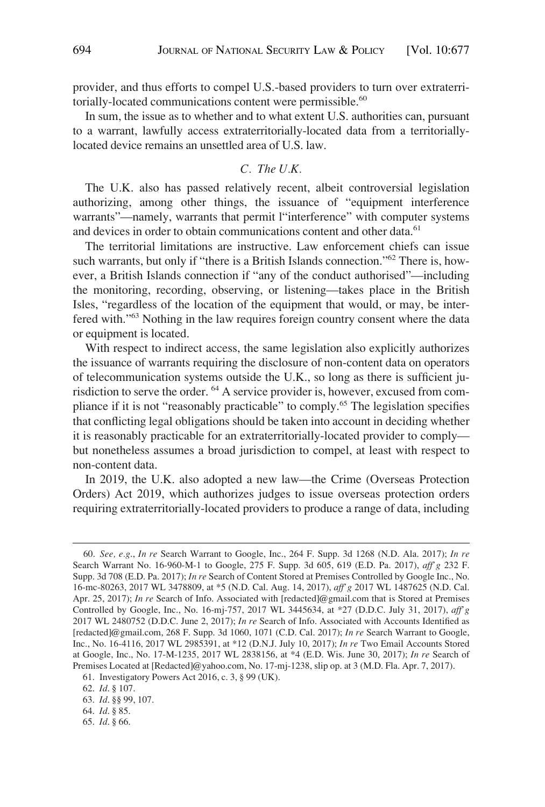provider, and thus efforts to compel U.S.-based providers to turn over extraterritorially-located communications content were permissible.<sup>60</sup>

In sum, the issue as to whether and to what extent U.S. authorities can, pursuant to a warrant, lawfully access extraterritorially-located data from a territoriallylocated device remains an unsettled area of U.S. law.

## *C. The U.K.*

The U.K. also has passed relatively recent, albeit controversial legislation authorizing, among other things, the issuance of "equipment interference warrants"—namely, warrants that permit l"interference" with computer systems and devices in order to obtain communications content and other data.<sup>61</sup>

The territorial limitations are instructive. Law enforcement chiefs can issue such warrants, but only if "there is a British Islands connection."<sup>62</sup> There is, however, a British Islands connection if "any of the conduct authorised"—including the monitoring, recording, observing, or listening—takes place in the British Isles, "regardless of the location of the equipment that would, or may, be interfered with."63 Nothing in the law requires foreign country consent where the data or equipment is located.

With respect to indirect access, the same legislation also explicitly authorizes the issuance of warrants requiring the disclosure of non-content data on operators of telecommunication systems outside the U.K., so long as there is sufficient jurisdiction to serve the order. 64 A service provider is, however, excused from compliance if it is not "reasonably practicable" to comply.65 The legislation specifies that conflicting legal obligations should be taken into account in deciding whether it is reasonably practicable for an extraterritorially-located provider to comply but nonetheless assumes a broad jurisdiction to compel, at least with respect to non-content data.

In 2019, the U.K. also adopted a new law—the Crime (Overseas Protection Orders) Act 2019, which authorizes judges to issue overseas protection orders requiring extraterritorially-located providers to produce a range of data, including

<sup>60.</sup> *See, e.g*., *In re* Search Warrant to Google, Inc., 264 F. Supp. 3d 1268 (N.D. Ala. 2017); *In re*  Search Warrant No. 16-960-M-1 to Google, 275 F. Supp. 3d 605, 619 (E.D. Pa. 2017), *aff'g* 232 F. Supp. 3d 708 (E.D. Pa. 2017); *In re* Search of Content Stored at Premises Controlled by Google Inc., No. 16-mc-80263, 2017 WL 3478809, at \*5 (N.D. Cal. Aug. 14, 2017), *aff'g* 2017 WL 1487625 (N.D. Cal. Apr. 25, 2017); *In re* Search of Info. Associated with [redacted]@gmail.com that is Stored at Premises Controlled by Google, Inc., No. 16-mj-757, 2017 WL 3445634, at \*27 (D.D.C. July 31, 2017), *aff'g*  2017 WL 2480752 (D.D.C. June 2, 2017); *In re* Search of Info. Associated with Accounts Identified as [redacted]@gmail.com, 268 F. Supp. 3d 1060, 1071 (C.D. Cal. 2017); *In re* Search Warrant to Google, Inc., No. 16-4116, 2017 WL 2985391, at \*12 (D.N.J. July 10, 2017); *In re* Two Email Accounts Stored at Google, Inc., No. 17-M-1235, 2017 WL 2838156, at \*4 (E.D. Wis. June 30, 2017); *In re* Search of Premises Located at [Redacted]@yahoo.com, No. 17-mj-1238, slip op. at 3 (M.D. Fla. Apr. 7, 2017).

<sup>61.</sup> Investigatory Powers Act 2016, c. 3, § 99 (UK).

<sup>62.</sup> *Id*. § 107.

<sup>63.</sup> *Id*. §§ 99, 107.

<sup>64.</sup> *Id*. § 85.

<sup>65.</sup> *Id*. § 66.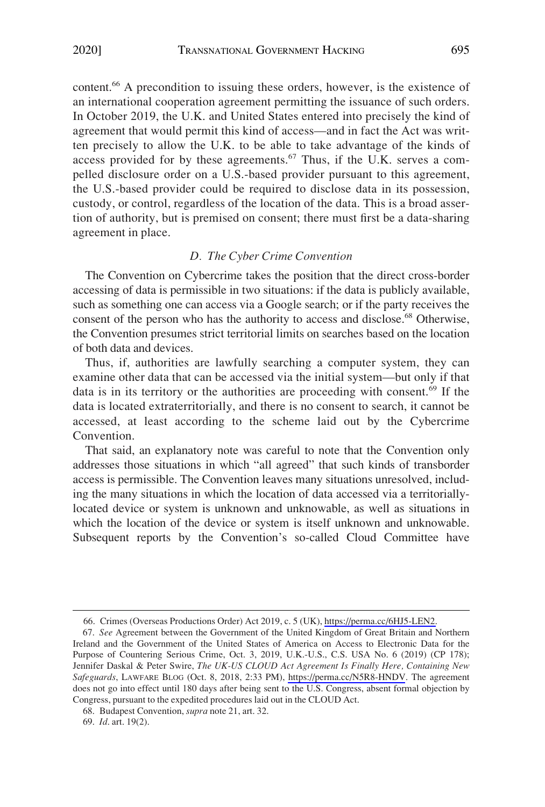content.<sup>66</sup> A precondition to issuing these orders, however, is the existence of an international cooperation agreement permitting the issuance of such orders. In October 2019, the U.K. and United States entered into precisely the kind of agreement that would permit this kind of access—and in fact the Act was written precisely to allow the U.K. to be able to take advantage of the kinds of access provided for by these agreements.<sup>67</sup> Thus, if the U.K. serves a compelled disclosure order on a U.S.-based provider pursuant to this agreement, the U.S.-based provider could be required to disclose data in its possession, custody, or control, regardless of the location of the data. This is a broad assertion of authority, but is premised on consent; there must first be a data-sharing agreement in place.

## *D. The Cyber Crime Convention*

The Convention on Cybercrime takes the position that the direct cross-border accessing of data is permissible in two situations: if the data is publicly available, such as something one can access via a Google search; or if the party receives the consent of the person who has the authority to access and disclose.<sup>68</sup> Otherwise, the Convention presumes strict territorial limits on searches based on the location of both data and devices.

Thus, if, authorities are lawfully searching a computer system, they can examine other data that can be accessed via the initial system—but only if that data is in its territory or the authorities are proceeding with consent.69 If the data is located extraterritorially, and there is no consent to search, it cannot be accessed, at least according to the scheme laid out by the Cybercrime Convention.

That said, an explanatory note was careful to note that the Convention only addresses those situations in which "all agreed" that such kinds of transborder access is permissible. The Convention leaves many situations unresolved, including the many situations in which the location of data accessed via a territoriallylocated device or system is unknown and unknowable, as well as situations in which the location of the device or system is itself unknown and unknowable. Subsequent reports by the Convention's so-called Cloud Committee have

<sup>66.</sup> Crimes (Overseas Productions Order) Act 2019, c. 5 (UK), [https://perma.cc/6HJ5-LEN2.](https://perma.cc/6HJ5-LEN2)

*See* Agreement between the Government of the United Kingdom of Great Britain and Northern 67. Ireland and the Government of the United States of America on Access to Electronic Data for the Purpose of Countering Serious Crime, Oct. 3, 2019, U.K.-U.S., C.S. USA No. 6 (2019) (CP 178); Jennifer Daskal & Peter Swire, *The UK-US CLOUD Act Agreement Is Finally Here, Containing New Safeguards*, LAWFARE BLOG (Oct. 8, 2018, 2:33 PM), <https://perma.cc/N5R8-HNDV>. The agreement does not go into effect until 180 days after being sent to the U.S. Congress, absent formal objection by Congress, pursuant to the expedited procedures laid out in the CLOUD Act.

<sup>68.</sup> Budapest Convention, *supra* note 21, art. 32.

<sup>69.</sup> *Id*. art. 19(2).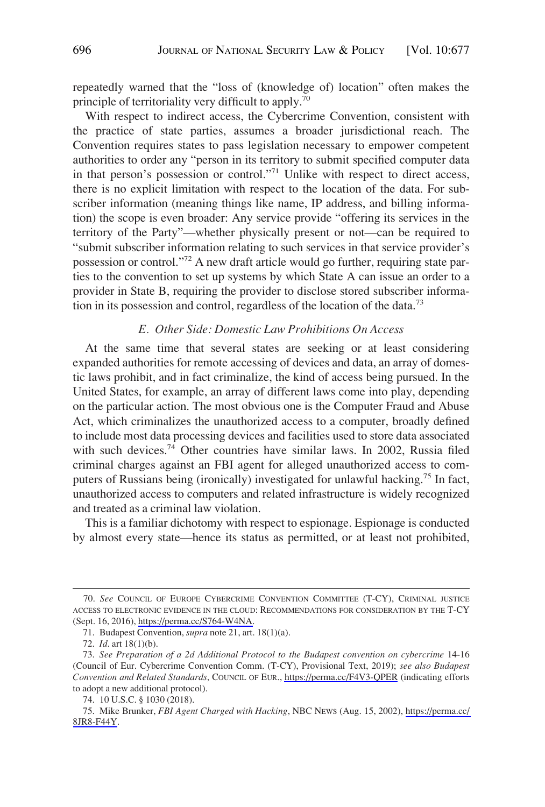repeatedly warned that the "loss of (knowledge of) location" often makes the principle of territoriality very difficult to apply.<sup>70</sup>

With respect to indirect access, the Cybercrime Convention, consistent with the practice of state parties, assumes a broader jurisdictional reach. The Convention requires states to pass legislation necessary to empower competent authorities to order any "person in its territory to submit specified computer data in that person's possession or control."71 Unlike with respect to direct access, there is no explicit limitation with respect to the location of the data. For subscriber information (meaning things like name, IP address, and billing information) the scope is even broader: Any service provide "offering its services in the territory of the Party"—whether physically present or not—can be required to "submit subscriber information relating to such services in that service provider's possession or control."72 A new draft article would go further, requiring state parties to the convention to set up systems by which State A can issue an order to a provider in State B, requiring the provider to disclose stored subscriber information in its possession and control, regardless of the location of the data.73

## *E. Other Side: Domestic Law Prohibitions On Access*

At the same time that several states are seeking or at least considering expanded authorities for remote accessing of devices and data, an array of domestic laws prohibit, and in fact criminalize, the kind of access being pursued. In the United States, for example, an array of different laws come into play, depending on the particular action. The most obvious one is the Computer Fraud and Abuse Act, which criminalizes the unauthorized access to a computer, broadly defined to include most data processing devices and facilities used to store data associated with such devices.<sup>74</sup> Other countries have similar laws. In 2002, Russia filed criminal charges against an FBI agent for alleged unauthorized access to computers of Russians being (ironically) investigated for unlawful hacking.<sup>75</sup> In fact, unauthorized access to computers and related infrastructure is widely recognized and treated as a criminal law violation.

This is a familiar dichotomy with respect to espionage. Espionage is conducted by almost every state—hence its status as permitted, or at least not prohibited,

<sup>70.</sup> See COUNCIL OF EUROPE CYBERCRIME CONVENTION COMMITTEE (T-CY), CRIMINAL JUSTICE ACCESS TO ELECTRONIC EVIDENCE IN THE CLOUD: RECOMMENDATIONS FOR CONSIDERATION BY THE T-CY (Sept. 16, 2016), [https://perma.cc/S764-W4NA.](https://perma.cc/S764-W4NA)

<sup>71.</sup> Budapest Convention, *supra* note 21, art. 18(1)(a).

<sup>72.</sup> *Id*. art 18(1)(b).

<sup>73.</sup> See Preparation of a 2d Additional Protocol to the Budapest convention on cybercrime 14-16 (Council of Eur. Cybercrime Convention Comm. (T-CY), Provisional Text, 2019); *see also Budapest Convention and Related Standards*, COUNCIL OF EUR., <https://perma.cc/F4V3-QPER>(indicating efforts to adopt a new additional protocol).

<sup>74. 10</sup> U.S.C. § 1030 (2018).

<sup>75.</sup> Mike Brunker, *FBI Agent Charged with Hacking*, NBC NEWS (Aug. 15, 2002), https://perma.cc/ [8JR8-F44Y.](https://perma.cc/8JR8-F44Y)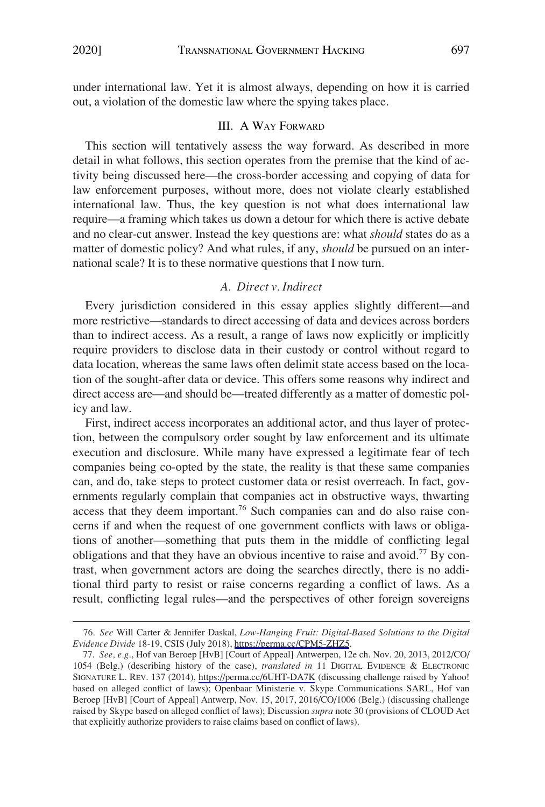under international law. Yet it is almost always, depending on how it is carried out, a violation of the domestic law where the spying takes place.

## III. A WAY FORWARD

This section will tentatively assess the way forward. As described in more detail in what follows, this section operates from the premise that the kind of activity being discussed here—the cross-border accessing and copying of data for law enforcement purposes, without more, does not violate clearly established international law. Thus, the key question is not what does international law require—a framing which takes us down a detour for which there is active debate and no clear-cut answer. Instead the key questions are: what *should* states do as a matter of domestic policy? And what rules, if any, *should* be pursued on an international scale? It is to these normative questions that I now turn.

## *A. Direct v. Indirect*

Every jurisdiction considered in this essay applies slightly different—and more restrictive—standards to direct accessing of data and devices across borders than to indirect access. As a result, a range of laws now explicitly or implicitly require providers to disclose data in their custody or control without regard to data location, whereas the same laws often delimit state access based on the location of the sought-after data or device. This offers some reasons why indirect and direct access are—and should be—treated differently as a matter of domestic policy and law.

First, indirect access incorporates an additional actor, and thus layer of protection, between the compulsory order sought by law enforcement and its ultimate execution and disclosure. While many have expressed a legitimate fear of tech companies being co-opted by the state, the reality is that these same companies can, and do, take steps to protect customer data or resist overreach. In fact, governments regularly complain that companies act in obstructive ways, thwarting access that they deem important.<sup>76</sup> Such companies can and do also raise concerns if and when the request of one government conflicts with laws or obligations of another—something that puts them in the middle of conflicting legal obligations and that they have an obvious incentive to raise and avoid.<sup>77</sup> By contrast, when government actors are doing the searches directly, there is no additional third party to resist or raise concerns regarding a conflict of laws. As a result, conflicting legal rules—and the perspectives of other foreign sovereigns

*See* Will Carter & Jennifer Daskal, *Low-Hanging Fruit: Digital-Based Solutions to the Digital*  76. *Evidence Divide* 18-19, CSIS (July 2018), [https://perma.cc/CPM5-ZHZ5.](https://perma.cc/CPM5-ZHZ5)

*See, e.g*., Hof van Beroep [HvB] [Court of Appeal] Antwerpen, 12e ch. Nov. 20, 2013, 2012/CO/ 77. 1054 (Belg.) (describing history of the case), *translated in* 11 DIGITAL EVIDENCE & ELECTRONIC SIGNATURE L. REV. 137 (2014), <https://perma.cc/6UHT-DA7K> (discussing challenge raised by Yahoo! based on alleged conflict of laws); Openbaar Ministerie v. Skype Communications SARL, Hof van Beroep [HvB] [Court of Appeal] Antwerp, Nov. 15, 2017, 2016/CO/1006 (Belg.) (discussing challenge raised by Skype based on alleged conflict of laws); Discussion *supra* note 30 (provisions of CLOUD Act that explicitly authorize providers to raise claims based on conflict of laws).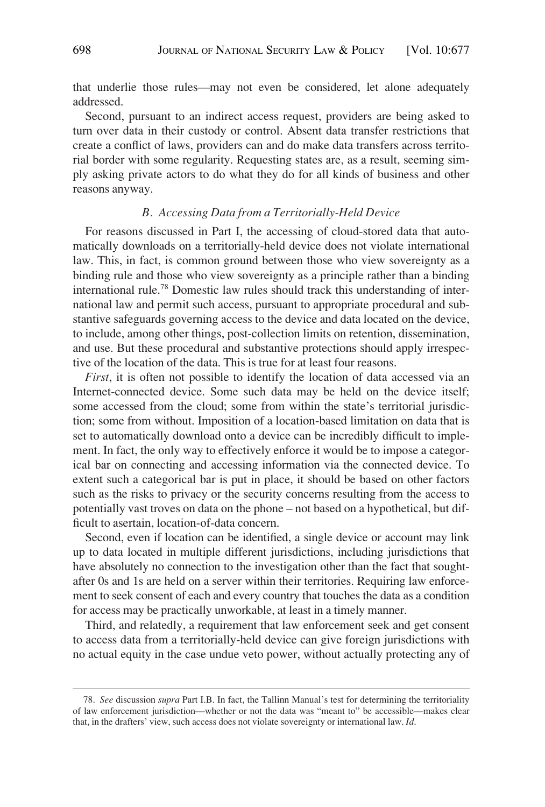that underlie those rules—may not even be considered, let alone adequately addressed.

Second, pursuant to an indirect access request, providers are being asked to turn over data in their custody or control. Absent data transfer restrictions that create a conflict of laws, providers can and do make data transfers across territorial border with some regularity. Requesting states are, as a result, seeming simply asking private actors to do what they do for all kinds of business and other reasons anyway.

#### *B. Accessing Data from a Territorially-Held Device*

For reasons discussed in Part I, the accessing of cloud-stored data that automatically downloads on a territorially-held device does not violate international law. This, in fact, is common ground between those who view sovereignty as a binding rule and those who view sovereignty as a principle rather than a binding international rule.78 Domestic law rules should track this understanding of international law and permit such access, pursuant to appropriate procedural and substantive safeguards governing access to the device and data located on the device, to include, among other things, post-collection limits on retention, dissemination, and use. But these procedural and substantive protections should apply irrespective of the location of the data. This is true for at least four reasons.

*First*, it is often not possible to identify the location of data accessed via an Internet-connected device. Some such data may be held on the device itself; some accessed from the cloud; some from within the state's territorial jurisdiction; some from without. Imposition of a location-based limitation on data that is set to automatically download onto a device can be incredibly difficult to implement. In fact, the only way to effectively enforce it would be to impose a categorical bar on connecting and accessing information via the connected device. To extent such a categorical bar is put in place, it should be based on other factors such as the risks to privacy or the security concerns resulting from the access to potentially vast troves on data on the phone – not based on a hypothetical, but difficult to asertain, location-of-data concern.

Second, even if location can be identified, a single device or account may link up to data located in multiple different jurisdictions, including jurisdictions that have absolutely no connection to the investigation other than the fact that soughtafter 0s and 1s are held on a server within their territories. Requiring law enforcement to seek consent of each and every country that touches the data as a condition for access may be practically unworkable, at least in a timely manner.

Third, and relatedly, a requirement that law enforcement seek and get consent to access data from a territorially-held device can give foreign jurisdictions with no actual equity in the case undue veto power, without actually protecting any of

<sup>78.</sup> *See* discussion *supra* Part I.B. In fact, the Tallinn Manual's test for determining the territoriality of law enforcement jurisdiction—whether or not the data was "meant to" be accessible—makes clear that, in the drafters' view, such access does not violate sovereignty or international law. *Id*.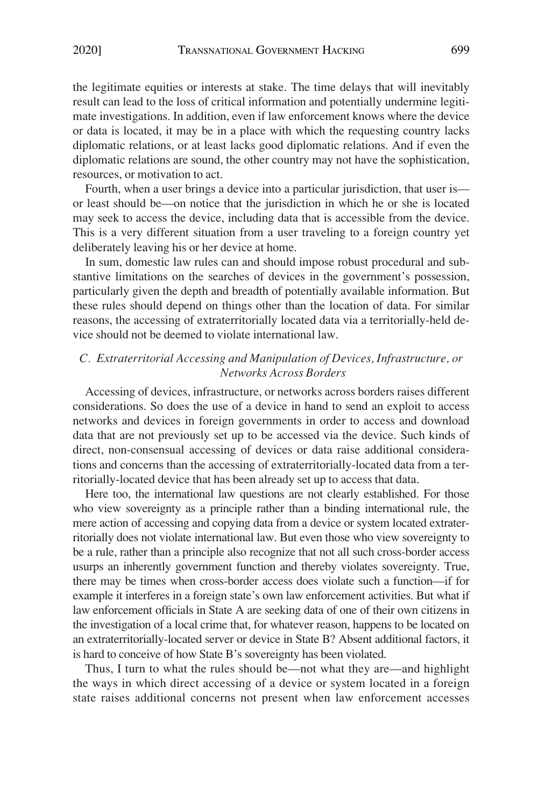the legitimate equities or interests at stake. The time delays that will inevitably result can lead to the loss of critical information and potentially undermine legitimate investigations. In addition, even if law enforcement knows where the device or data is located, it may be in a place with which the requesting country lacks diplomatic relations, or at least lacks good diplomatic relations. And if even the diplomatic relations are sound, the other country may not have the sophistication, resources, or motivation to act.

Fourth, when a user brings a device into a particular jurisdiction, that user is or least should be—on notice that the jurisdiction in which he or she is located may seek to access the device, including data that is accessible from the device. This is a very different situation from a user traveling to a foreign country yet deliberately leaving his or her device at home.

In sum, domestic law rules can and should impose robust procedural and substantive limitations on the searches of devices in the government's possession, particularly given the depth and breadth of potentially available information. But these rules should depend on things other than the location of data. For similar reasons, the accessing of extraterritorially located data via a territorially-held device should not be deemed to violate international law.

## *C. Extraterritorial Accessing and Manipulation of Devices, Infrastructure, or Networks Across Borders*

Accessing of devices, infrastructure, or networks across borders raises different considerations. So does the use of a device in hand to send an exploit to access networks and devices in foreign governments in order to access and download data that are not previously set up to be accessed via the device. Such kinds of direct, non-consensual accessing of devices or data raise additional considerations and concerns than the accessing of extraterritorially-located data from a territorially-located device that has been already set up to access that data.

Here too, the international law questions are not clearly established. For those who view sovereignty as a principle rather than a binding international rule, the mere action of accessing and copying data from a device or system located extraterritorially does not violate international law. But even those who view sovereignty to be a rule, rather than a principle also recognize that not all such cross-border access usurps an inherently government function and thereby violates sovereignty. True, there may be times when cross-border access does violate such a function—if for example it interferes in a foreign state's own law enforcement activities. But what if law enforcement officials in State A are seeking data of one of their own citizens in the investigation of a local crime that, for whatever reason, happens to be located on an extraterritorially-located server or device in State B? Absent additional factors, it is hard to conceive of how State B's sovereignty has been violated.

Thus, I turn to what the rules should be—not what they are—and highlight the ways in which direct accessing of a device or system located in a foreign state raises additional concerns not present when law enforcement accesses